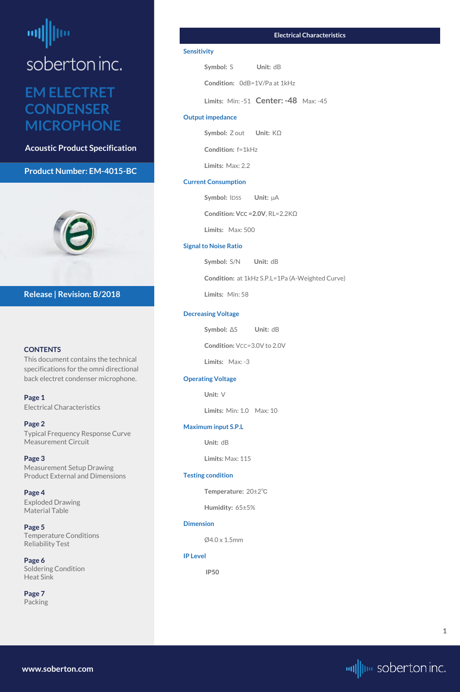# <span id="page-0-0"></span>**EM ELECTRET CONDENSER MICROPHONE**

**Acoustic Product Specification**

#### **Product Number: EM-4015-BC**



#### **CONTENTS**

This document contains the technical specifications for the omni directional back electret condenser microphone.

**Page 1** Electrical Characteristics

**[Page 2](#page-1-0)** [Typical Frequency Response Curve](#page-1-0) [Measurement Circuit](#page-1-0)

**[Page 3](#page-2-0)** [Measurement Setup Drawing](#page-2-0) [Product External and Dimensions](#page-2-0)

## **[Page 4](#page-3-0)**

[Exploded Drawing](#page-3-0)  [Material Table](#page-3-0)

**[Page 5](#page-4-0)** [Temperature Conditions](#page-4-0) [Reliability Test](#page-4-0)

**[Page 6](#page-5-0)** [Soldering Condition](#page-5-0) [Heat Sink](#page-5-0)

**[Page](#page-6-0) 7** [Packing](#page-6-0)

#### **Release | Revision: B/2018**

**[www.soberton.com](http://www.soberton.com)**



**1**

#### **Electrical Characteristics**

#### **Sensitivity**

**Symbol: S Unit: dB** 

**Condition:** 0dB=1V/Pa at 1kHz

**Limits:** Min: -51 **Center: -48** Max: -45

#### **Output impedance**

**Symbol:** Z out **Unit:** KΩ

**Condition:** f=1kHz

**Limits:** Max: 2.2

#### **Current Consumption**

**Symbol: IDSS Unit:**  $\mu$ A

**Condition: VCC =2.0V**, RL=2.2KΩ

**Limits:** Max: 500

#### **Signal to Noise Ratio**

**Symbol:** S/N **Unit:** dB

**Condition:** at 1kHz S.P.L=1Pa (A-Weighted Curve)

**Limits:** Min: 58

#### **Decreasing Voltage**

**Symbol:** ΔS **Unit:** dB

**Condition:**  $VCC=3.0V$  to 2.0V

**Limits:** Max: -3

#### **Operating Voltage**

**Unit:** V

**Limits:** Min: 1.0 Max: 10

#### **Maximum input S.P.L**

**Unit:** dB

**Limits:** Max: 115

#### **Testing condition**

**Temperature:** 20±2℃

**Humidity:** 65±5%

**Dimension**

Ø4.0 x 1.5mm

**IP Level**

 **IP50**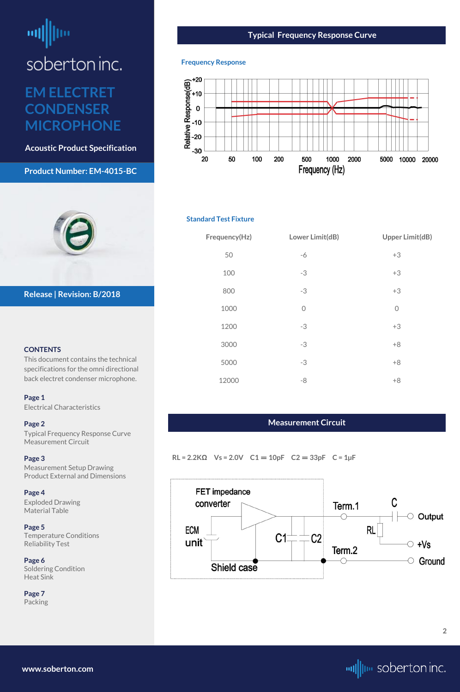# <span id="page-1-0"></span>ᆒ

soberton inc.

# **EM ELECTRET CONDENSER MICROPHONE**

**Acoustic Product Specification**

#### **Product Number: EM-4015-BC**



#### **CONTENTS**

This document contains the technical specifications for the omni directional back electret condenser microphone.

#### **[Page 1](#page-0-0)**

[Electrical Characteri](#page-0-0)stics

#### **Page 2**

Typical Frequency Response Curve Measurement Circuit

#### **[Page 3](#page-2-0)**

[Measurement Setup Drawing](#page-2-0) [Product External and Dimensions](#page-2-0)

#### **[Page 4](#page-3-0)**

[Exploded Drawing](#page-3-0)  [Material Table](#page-3-0)

**[Page 5](#page-4-0)** [Temperature Conditions](#page-4-0) [Reliability Test](#page-4-0)

**[Page 6](#page-5-0)** [Soldering Condition](#page-5-0) [Heat Sink](#page-5-0)

**[Page](#page-6-0) 7** [Packing](#page-6-0)

**Release | Revision: B/2018**

**[www.soberton.com](http://www.soberton.com)**



#### **Typical Frequency Response Curve**

#### **Frequency Response**



#### **Standard Test Fixture**

| Frequency(Hz) | Lower Limit(dB) | <b>Upper Limit(dB)</b> |
|---------------|-----------------|------------------------|
| 50            | $-6$            | $+3$                   |
| 100           | $-3$            | $+3$                   |
| 800           | $-3$            | $+3$                   |
| 1000          | $\overline{O}$  | $\overline{O}$         |
| 1200          | $-3$            | $+3$                   |
| 3000          | $-3$            | $+8$                   |
| 5000          | $-3$            | $+8$                   |
| 12000         | $-8$            | $+8$                   |

#### **Measurement Circuit**

**RL = 2.2KΩ Vs = 2.0V C1** = **10pF C2** = **33pF C = 1µF**

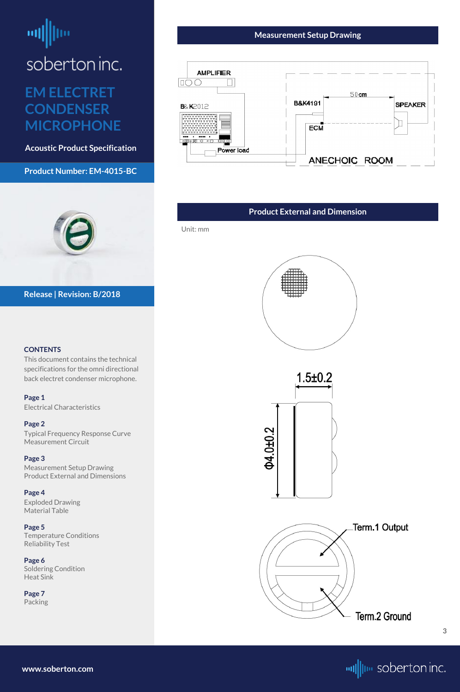# <span id="page-2-0"></span>**EM ELECTRET CONDENSER MICROPHONE**

**Acoustic Product Specification**

#### **Product Number: EM-4015-BC**



#### **CONTENTS**

This document contains the technical specifications for the omni directional back electret condenser microphone.

## **[Page 1](#page-0-0)**

[Electrical Characteri](#page-0-0)stics

#### **[Page 2](#page-1-0)**

[Typical Frequency Response Curve](#page-1-0) [Measurement Circuit](#page-1-0)

#### **Page 3**

Measurement Setup Drawing Product External and Dimensions

#### **[Page 4](#page-3-0)**

[Exploded Drawing](#page-3-0)  [Material Table](#page-3-0)

**[Page 5](#page-4-0)** [Temperature Conditions](#page-4-0) [Reliability Test](#page-4-0)

**[Page 6](#page-5-0)** [Soldering Condition](#page-5-0) [Heat Sink](#page-5-0)

**[Page](#page-6-0) 7** [Packing](#page-6-0)



#### **Release | Revision: B/2018**

**[www.soberton.com](http://www.soberton.com)**



**3**

#### **Measurement Setup Drawing**



#### **Product External and Dimension**

Unit: mm



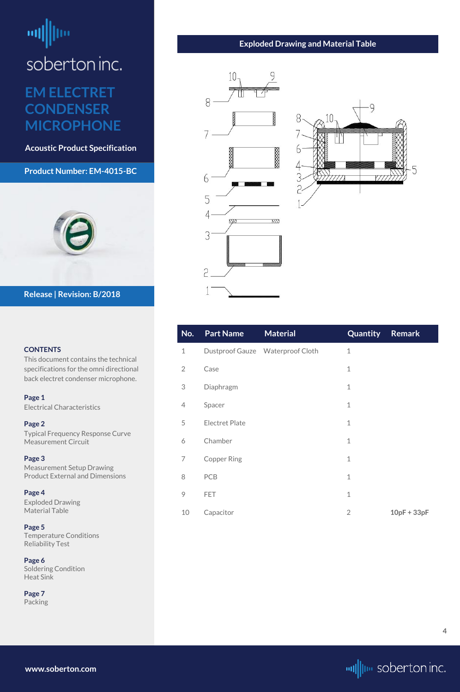# <span id="page-3-0"></span>**EM ELECTRET CONDENSER MICROPHONE**

**Acoustic Product Specification**

## **Product Number: EM-4015-BC**



#### **CONTENTS**

This document contains the technical specifications for the omni directional back electret condenser microphone.

**[Page 1](#page-0-0)** [Electrical Characteri](#page-0-0)stics

**[Page 2](#page-1-0)** [Typical Frequency Response Curve](#page-1-0) [Measurement Circuit](#page-1-0)

#### **[Page 3](#page-2-0)**

[Measurement Setup Drawing](#page-2-0) [Product External and Dimensions](#page-2-0)

**Page 4**

Exploded Drawing Material Table

**[Page 5](#page-4-0)** [Temperature Conditions](#page-4-0) [Reliability Test](#page-4-0)

**[Page 6](#page-5-0)** [Soldering Condition](#page-5-0) [Heat Sink](#page-5-0)

**[Page](#page-6-0) 7** [Packing](#page-6-0)

#### **Release | Revision: B/2018**

**www.soberton.com**



| No.            | <b>Part Name</b>      | <b>Material</b>                  | Quantity       | <b>Remark</b> |
|----------------|-----------------------|----------------------------------|----------------|---------------|
| $\mathbf 1$    |                       | Dustproof Gauze Waterproof Cloth | $\mathbf{1}$   |               |
| $\overline{2}$ | Case                  |                                  | $\mathbf 1$    |               |
| 3              | Diaphragm             |                                  | $\mathbf 1$    |               |
| 4              | Spacer                |                                  | $\mathbf{1}$   |               |
| 5              | <b>Electret Plate</b> |                                  | $\mathbf 1$    |               |
| 6              | Chamber               |                                  | $\mathbf 1$    |               |
| 7              | <b>Copper Ring</b>    |                                  | $\mathbf 1$    |               |
| 8              | PCB                   |                                  | $\mathbf 1$    |               |
| 9              | <b>FET</b>            |                                  | $\mathbf 1$    |               |
| 10             | Capacitor             |                                  | $\overline{2}$ | $10pF + 33pF$ |

#### **Exploded Drawing and Material Table**



**4**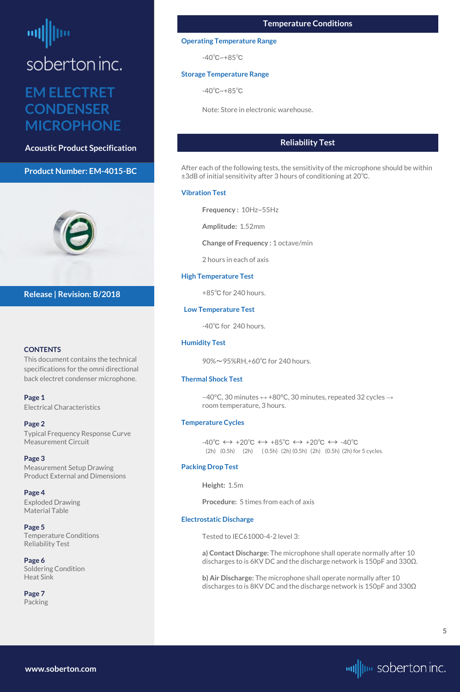# <span id="page-4-0"></span>**EM ELECTRET CONDENSER MICROPHONE**

**Acoustic Product Specification**

#### **Product Number: EM-4015-BC**



#### **CONTENTS**

This document contains the technical specifications for the omni directional back electret condenser microphone.

**[Page 1](#page-0-0)** [Electrical Characteri](#page-0-0)stics

#### **[Page 2](#page-1-0)**

[Typical Frequency Response Curve](#page-1-0) [Measurement Circuit](#page-1-0)

#### **[Page 3](#page-2-0)**

[Measurement Setup Drawing](#page-2-0) [Product External and Dimensions](#page-2-0)

#### **[Page 4](#page-3-0)**

[Exploded Drawing](#page-3-0)  [Material Table](#page-3-0)

**Page 5** Temperature Conditions Reliability Test

**[Page 6](#page-5-0)** [Soldering Condition](#page-5-0) [Heat Sink](#page-5-0)

**[Page](#page-6-0) 7** [Packing](#page-6-0)

#### **Release | Revision: B/2018**

-40°C, 30 minutes  $\leftrightarrow$  +80°C, 30 minutes, repeated 32 cycles  $\rightarrow$ room temperature, 3 hours.

**www.soberton.com**



## **Reliability Test**

 $-40^{\circ}C \leftrightarrow +20^{\circ}C \leftrightarrow +85^{\circ}C \leftrightarrow +20^{\circ}C \leftrightarrow -40^{\circ}C$ (2h) (0.5h) (2h) ( 0.5h) (2h) (0.5h) (2h) (0.5h) (2h) for 5 cycles.

After each of the following tests, the sensitivity of the microphone should be within ±3dB of initial sensitivity after 3 hours of conditioning at 20℃.

#### **Vibration Test**

**Frequency :** 10Hz~55Hz

**Amplitude:** 1.52mm

**Change of Frequency :** 1 octave/min

2 hours in each of axis

#### **High Temperature Test**

+85℃ for 240 hours.

#### **Low Temperature Test**

-40℃ for 240 hours.

#### **Humidity Test**

90%~95%RH,+60℃ for 240 hours.

#### **Thermal Shock Test**

#### **Temperature Cycles**

#### **Packing Drop Test**

**Height:** 1.5m

**Procedure:** 5 times from each of axis

#### **Electrostatic Discharge**

Tested to IEC61000-4-2 level 3:

**a) Contact Discharge:** The microphone shall operate normally after 10 discharges to is 6KV DC and the discharge network is 150pF and 330Ω.

**b) Air Discharge:** The microphone shall operate normally after 10 discharges to is 8KV DC and the discharge network is 150pF and 330Ω

#### **Temperature Conditions**

#### **Operating Temperature Range**

-40℃~+85℃

#### **Storage Temperature Range**

-40℃~+85℃

Note: Store in electronic warehouse.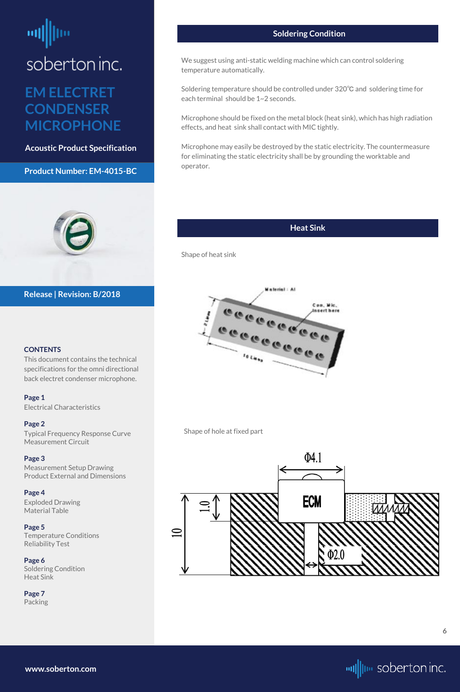# <span id="page-5-0"></span>**EM ELECTRET CONDENSER MICROPHONE**

**Acoustic Product Specification**

#### **Product Number: EM-4015-BC**



#### **CONTENTS**

This document contains the technical specifications for the omni directional back electret condenser microphone.

#### **[Page 1](#page-0-0)**

[Electrical Characteri](#page-0-0)stics

#### **[Page 2](#page-1-0)**

[Typical Frequency Response Curve](#page-1-0) [Measurement Circuit](#page-1-0)

#### **[Page 3](#page-2-0)**

[Measurement Setup Drawing](#page-2-0) [Product External and Dimensions](#page-2-0)

#### **[Page 4](#page-3-0)**

[Exploded Drawing](#page-3-0)  [Material Table](#page-3-0)

**[Page 5](#page-4-0)** [Temperature Conditions](#page-4-0) [Reliability Test](#page-4-0)

**Page 6** Soldering Condition Heat Sink

**[Page](#page-6-0) 7** [Packing](#page-6-0)

#### **Release | Revision: B/2018**

**www.soberton.com**



#### **Soldering Condition**

We suggest using anti-static welding machine which can control soldering temperature automatically.

Soldering temperature should be controlled under 320℃ and soldering time for each terminal should be 1~2 seconds.

Microphone should be fixed on the metal block (heat sink), which has high radiation effects, and heat sink shall contact with MIC tightly.

Microphone may easily be destroyed by the static electricity. The countermeasure for eliminating the static electricity shall be by grounding the worktable and operator.

## **Heat Sink**

Shape of heat sink



Shape of hole at fixed part



**6**